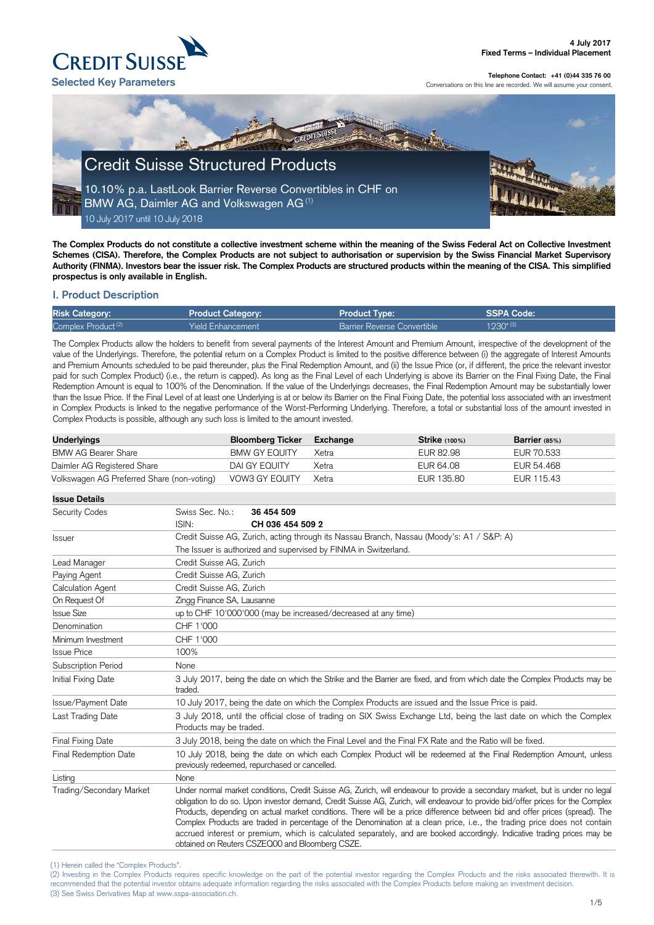#### (1) Herein called the "Complex Products".

(2) Investing in the Complex Products requires specific knowledge on the part of the potential investor regarding the Complex Products and the risks associated therewith. It is recommended that the potential investor obtains adequate information regarding the risks associated with the Complex Products before making an investment decision. (3) See Swiss Derivatives Map at www.sspa-association.ch.



#### **Telephone Contact: +41 (0)44 335 76 00**

Conversations on this line are recorded. We will assume your consent.

**The Complex Products do not constitute a collective investment scheme within the meaning of the Swiss Federal Act on Collective Investment Schemes (CISA). Therefore, the Complex Products are not subject to authorisation or supervision by the Swiss Financial Market Supervisory Authority (FINMA). Investors bear the issuer risk. The Complex Products are structured products within the meaning of the CISA. This simplified prospectus is only available in English.**

## **I. Product Description**

| <b>Risk Category:</b>          | <b>Product Category:</b> | <b>Product Type:</b>               | SSPA Code:    |
|--------------------------------|--------------------------|------------------------------------|---------------|
| Complex Product <sup>(2)</sup> | <b>Yield Enhancement</b> | <b>Barrier Reverse Convertible</b> | $1230^{*(3)}$ |

The Complex Products allow the holders to benefit from several payments of the Interest Amount and Premium Amount, irrespective of the development of the value of the Underlyings. Therefore, the potential return on a Complex Product is limited to the positive difference between (i) the aggregate of Interest Amounts and Premium Amounts scheduled to be paid thereunder, plus the Final Redemption Amount, and (ii) the Issue Price (or, if different, the price the relevant investor paid for such Complex Product) (i.e., the return is capped). As long as the Final Level of each Underlying is above its Barrier on the Final Fixing Date, the Final Redemption Amount is equal to 100% of the Denomination. If the value of the Underlyings decreases, the Final Redemption Amount may be substantially lower than the Issue Price. If the Final Level of at least one Underlying is at or below its Barrier on the Final Fixing Date, the potential loss associated with an investment in Complex Products is linked to the negative performance of the Worst-Performing Underlying. Therefore, a total or substantial loss of the amount invested in Complex Products is possible, although any such loss is limited to the amount invested.

| <b>Underlyings</b>                         | <b>Bloomberg Ticker</b> | Exchange | $Strike$ (100%) | Barrier $(85%)$ |
|--------------------------------------------|-------------------------|----------|-----------------|-----------------|
| <b>BMW AG Bearer Share</b>                 | <b>BMW GY EQUITY</b>    | Xetra    | EUR 82.98       | EUR 70.533      |
| Daimler AG Registered Share                | DAI GY EQUITY           | Xetra    | EUR 64.08       | EUR 54.468      |
| Volkswagen AG Preferred Share (non-voting) | VOW3 GY EQUITY          | Xetra    | EUR 135.80      | EUR 115.43      |

| <b>Issue Details</b>     |                                                                                                                                                                                                                                                                                                                                                                                                                                                                                                                                                                                                                                                                                                              |                                                                                                                            |  |  |
|--------------------------|--------------------------------------------------------------------------------------------------------------------------------------------------------------------------------------------------------------------------------------------------------------------------------------------------------------------------------------------------------------------------------------------------------------------------------------------------------------------------------------------------------------------------------------------------------------------------------------------------------------------------------------------------------------------------------------------------------------|----------------------------------------------------------------------------------------------------------------------------|--|--|
| <b>Security Codes</b>    | Swiss Sec. No.:                                                                                                                                                                                                                                                                                                                                                                                                                                                                                                                                                                                                                                                                                              | 36 454 509                                                                                                                 |  |  |
|                          | ISIN:                                                                                                                                                                                                                                                                                                                                                                                                                                                                                                                                                                                                                                                                                                        | CH 036 454 509 2                                                                                                           |  |  |
| <b>Issuer</b>            |                                                                                                                                                                                                                                                                                                                                                                                                                                                                                                                                                                                                                                                                                                              | Credit Suisse AG, Zurich, acting through its Nassau Branch, Nassau (Moody's: A1 / S&P: A)                                  |  |  |
|                          |                                                                                                                                                                                                                                                                                                                                                                                                                                                                                                                                                                                                                                                                                                              | The Issuer is authorized and supervised by FINMA in Switzerland.                                                           |  |  |
| Lead Manager             |                                                                                                                                                                                                                                                                                                                                                                                                                                                                                                                                                                                                                                                                                                              | Credit Suisse AG, Zurich                                                                                                   |  |  |
| Paying Agent             | Credit Suisse AG, Zurich                                                                                                                                                                                                                                                                                                                                                                                                                                                                                                                                                                                                                                                                                     |                                                                                                                            |  |  |
| <b>Calculation Agent</b> | Credit Suisse AG, Zurich                                                                                                                                                                                                                                                                                                                                                                                                                                                                                                                                                                                                                                                                                     |                                                                                                                            |  |  |
| On Request Of            |                                                                                                                                                                                                                                                                                                                                                                                                                                                                                                                                                                                                                                                                                                              | Zingg Finance SA, Lausanne                                                                                                 |  |  |
| <b>Issue Size</b>        |                                                                                                                                                                                                                                                                                                                                                                                                                                                                                                                                                                                                                                                                                                              | up to CHF 10'000'000 (may be increased/decreased at any time)                                                              |  |  |
| Denomination             | CHF 1'000                                                                                                                                                                                                                                                                                                                                                                                                                                                                                                                                                                                                                                                                                                    |                                                                                                                            |  |  |
| Minimum Investment       | CHF 1'000                                                                                                                                                                                                                                                                                                                                                                                                                                                                                                                                                                                                                                                                                                    |                                                                                                                            |  |  |
| <b>Issue Price</b>       | 100%                                                                                                                                                                                                                                                                                                                                                                                                                                                                                                                                                                                                                                                                                                         |                                                                                                                            |  |  |
| Subscription Period      | None                                                                                                                                                                                                                                                                                                                                                                                                                                                                                                                                                                                                                                                                                                         |                                                                                                                            |  |  |
| Initial Fixing Date      | traded.                                                                                                                                                                                                                                                                                                                                                                                                                                                                                                                                                                                                                                                                                                      | 3 July 2017, being the date on which the Strike and the Barrier are fixed, and from which date the Complex Products may be |  |  |
| Issue/Payment Date       |                                                                                                                                                                                                                                                                                                                                                                                                                                                                                                                                                                                                                                                                                                              | 10 July 2017, being the date on which the Complex Products are issued and the Issue Price is paid.                         |  |  |
| Last Trading Date        | 3 July 2018, until the official close of trading on SIX Swiss Exchange Ltd, being the last date on which the Complex<br>Products may be traded.                                                                                                                                                                                                                                                                                                                                                                                                                                                                                                                                                              |                                                                                                                            |  |  |
| <b>Final Fixing Date</b> | 3 July 2018, being the date on which the Final Level and the Final FX Rate and the Ratio will be fixed.                                                                                                                                                                                                                                                                                                                                                                                                                                                                                                                                                                                                      |                                                                                                                            |  |  |
| Final Redemption Date    | 10 July 2018, being the date on which each Complex Product will be redeemed at the Final Redemption Amount, unless<br>previously redeemed, repurchased or cancelled.                                                                                                                                                                                                                                                                                                                                                                                                                                                                                                                                         |                                                                                                                            |  |  |
| Listing                  | None                                                                                                                                                                                                                                                                                                                                                                                                                                                                                                                                                                                                                                                                                                         |                                                                                                                            |  |  |
| Trading/Secondary Market | Under normal market conditions, Credit Suisse AG, Zurich, will endeavour to provide a secondary market, but is under no legal<br>obligation to do so. Upon investor demand, Credit Suisse AG, Zurich, will endeavour to provide bid/offer prices for the Complex<br>Products, depending on actual market conditions. There will be a price difference between bid and offer prices (spread). The<br>Complex Products are traded in percentage of the Denomination at a clean price, i.e., the trading price does not contain<br>accrued interest or premium, which is calculated separately, and are booked accordingly. Indicative trading prices may be<br>obtained on Reuters CSZEQ00 and Bloomberg CSZE. |                                                                                                                            |  |  |

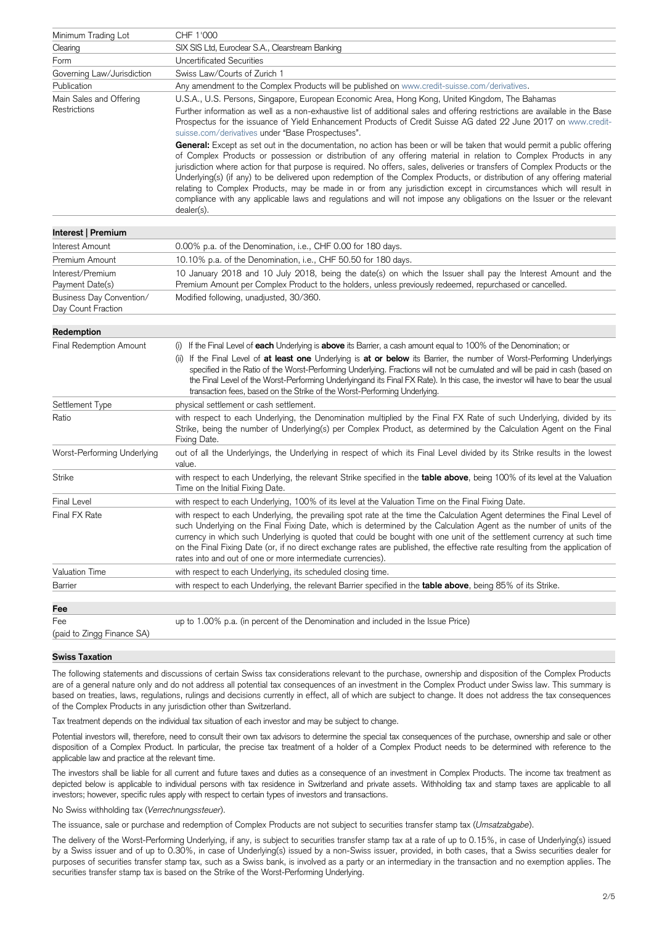| Minimum Trading Lot                            | CHF 1'000                                                                                                                                                                                                                                                                                                                                                                                                                                                                                                                                                                                                                                                                                                                                                              |
|------------------------------------------------|------------------------------------------------------------------------------------------------------------------------------------------------------------------------------------------------------------------------------------------------------------------------------------------------------------------------------------------------------------------------------------------------------------------------------------------------------------------------------------------------------------------------------------------------------------------------------------------------------------------------------------------------------------------------------------------------------------------------------------------------------------------------|
| Clearing                                       | SIX SIS Ltd, Euroclear S.A., Clearstream Banking                                                                                                                                                                                                                                                                                                                                                                                                                                                                                                                                                                                                                                                                                                                       |
| Form                                           | <b>Uncertificated Securities</b>                                                                                                                                                                                                                                                                                                                                                                                                                                                                                                                                                                                                                                                                                                                                       |
| Governing Law/Jurisdiction                     | Swiss Law/Courts of Zurich 1                                                                                                                                                                                                                                                                                                                                                                                                                                                                                                                                                                                                                                                                                                                                           |
| Publication                                    | Any amendment to the Complex Products will be published on www.credit-suisse.com/derivatives.                                                                                                                                                                                                                                                                                                                                                                                                                                                                                                                                                                                                                                                                          |
| Main Sales and Offering<br>Restrictions        | U.S.A., U.S. Persons, Singapore, European Economic Area, Hong Kong, United Kingdom, The Bahamas<br>Further information as well as a non-exhaustive list of additional sales and offering restrictions are available in the Base<br>Prospectus for the issuance of Yield Enhancement Products of Credit Suisse AG dated 22 June 2017 on www.credit-<br>suisse.com/derivatives under "Base Prospectuses".                                                                                                                                                                                                                                                                                                                                                                |
|                                                | General: Except as set out in the documentation, no action has been or will be taken that would permit a public offering<br>of Complex Products or possession or distribution of any offering material in relation to Complex Products in any<br>jurisdiction where action for that purpose is required. No offers, sales, deliveries or transfers of Complex Products or the<br>Underlying(s) (if any) to be delivered upon redemption of the Complex Products, or distribution of any offering material<br>relating to Complex Products, may be made in or from any jurisdiction except in circumstances which will result in<br>compliance with any applicable laws and regulations and will not impose any obligations on the Issuer or the relevant<br>dealer(s). |
| Interest   Premium                             |                                                                                                                                                                                                                                                                                                                                                                                                                                                                                                                                                                                                                                                                                                                                                                        |
| Interest Amount                                | 0.00% p.a. of the Denomination, i.e., CHF 0.00 for 180 days.                                                                                                                                                                                                                                                                                                                                                                                                                                                                                                                                                                                                                                                                                                           |
| Premium Amount                                 | 10.10% p.a. of the Denomination, i.e., CHF 50.50 for 180 days.                                                                                                                                                                                                                                                                                                                                                                                                                                                                                                                                                                                                                                                                                                         |
| Interest/Premium<br>Payment Date(s)            | 10 January 2018 and 10 July 2018, being the date(s) on which the Issuer shall pay the Interest Amount and the<br>Premium Amount per Complex Product to the holders, unless previously redeemed, repurchased or cancelled.                                                                                                                                                                                                                                                                                                                                                                                                                                                                                                                                              |
| Business Day Convention/<br>Day Count Fraction | Modified following, unadjusted, 30/360.                                                                                                                                                                                                                                                                                                                                                                                                                                                                                                                                                                                                                                                                                                                                |
| Redemption                                     |                                                                                                                                                                                                                                                                                                                                                                                                                                                                                                                                                                                                                                                                                                                                                                        |
| Final Redemption Amount                        | If the Final Level of each Underlying is above its Barrier, a cash amount equal to 100% of the Denomination; or<br>(i)<br>If the Final Level of at least one Underlying is at or below its Barrier, the number of Worst-Performing Underlyings<br>(ii)<br>specified in the Ratio of the Worst-Performing Underlying. Fractions will not be cumulated and will be paid in cash (based on<br>the Final Level of the Worst-Performing Underlyingand its Final FX Rate). In this case, the investor will have to bear the usual<br>transaction fees, based on the Strike of the Worst-Performing Underlying.                                                                                                                                                               |
| Settlement Type                                | physical settlement or cash settlement.                                                                                                                                                                                                                                                                                                                                                                                                                                                                                                                                                                                                                                                                                                                                |
| Ratio                                          | with respect to each Underlying, the Denomination multiplied by the Final FX Rate of such Underlying, divided by its<br>Strike, being the number of Underlying(s) per Complex Product, as determined by the Calculation Agent on the Final<br>Fixing Date.                                                                                                                                                                                                                                                                                                                                                                                                                                                                                                             |
| Worst-Performing Underlying                    | out of all the Underlyings, the Underlying in respect of which its Final Level divided by its Strike results in the lowest<br>value.                                                                                                                                                                                                                                                                                                                                                                                                                                                                                                                                                                                                                                   |
| <b>Strike</b>                                  | with respect to each Underlying, the relevant Strike specified in the table above, being 100% of its level at the Valuation<br>Time on the Initial Fixing Date.                                                                                                                                                                                                                                                                                                                                                                                                                                                                                                                                                                                                        |
| <b>Final Level</b>                             | with respect to each Underlying, 100% of its level at the Valuation Time on the Final Fixing Date.                                                                                                                                                                                                                                                                                                                                                                                                                                                                                                                                                                                                                                                                     |
| Final FX Rate                                  | with respect to each Underlying, the prevailing spot rate at the time the Calculation Agent determines the Final Level of<br>such Underlying on the Final Fixing Date, which is determined by the Calculation Agent as the number of units of the<br>currency in which such Underlying is quoted that could be bought with one unit of the settlement currency at such time<br>on the Final Fixing Date (or, if no direct exchange rates are published, the effective rate resulting from the application of<br>rates into and out of one or more intermediate currencies).                                                                                                                                                                                            |
| <b>Valuation Time</b>                          | with respect to each Underlying, its scheduled closing time.                                                                                                                                                                                                                                                                                                                                                                                                                                                                                                                                                                                                                                                                                                           |
| Barrier                                        | with respect to each Underlying, the relevant Barrier specified in the <b>table above</b> , being 85% of its Strike.                                                                                                                                                                                                                                                                                                                                                                                                                                                                                                                                                                                                                                                   |
| Fee                                            |                                                                                                                                                                                                                                                                                                                                                                                                                                                                                                                                                                                                                                                                                                                                                                        |
| Fee                                            | up to 1.00% p.a. (in percent of the Denomination and included in the Issue Price)                                                                                                                                                                                                                                                                                                                                                                                                                                                                                                                                                                                                                                                                                      |
| (paid to Zingg Finance SA)                     |                                                                                                                                                                                                                                                                                                                                                                                                                                                                                                                                                                                                                                                                                                                                                                        |

#### **Swiss Taxation**

The following statements and discussions of certain Swiss tax considerations relevant to the purchase, ownership and disposition of the Complex Products are of a general nature only and do not address all potential tax consequences of an investment in the Complex Product under Swiss law. This summary is based on treaties, laws, regulations, rulings and decisions currently in effect, all of which are subject to change. It does not address the tax consequences of the Complex Products in any jurisdiction other than Switzerland.

Tax treatment depends on the individual tax situation of each investor and may be subject to change.

Potential investors will, therefore, need to consult their own tax advisors to determine the special tax consequences of the purchase, ownership and sale or other disposition of a Complex Product. In particular, the precise tax treatment of a holder of a Complex Product needs to be determined with reference to the applicable law and practice at the relevant time.

The investors shall be liable for all current and future taxes and duties as a consequence of an investment in Complex Products. The income tax treatment as depicted below is applicable to individual persons with tax residence in Switzerland and private assets. Withholding tax and stamp taxes are applicable to all investors; however, specific rules apply with respect to certain types of investors and transactions.

No Swiss withholding tax (*Verrechnungssteuer*).

The issuance, sale or purchase and redemption of Complex Products are not subject to securities transfer stamp tax (*Umsatzabgabe*).

The delivery of the Worst-Performing Underlying, if any, is subject to securities transfer stamp tax at a rate of up to 0.15%, in case of Underlying(s) issued by a Swiss issuer and of up to 0.30%, in case of Underlying(s) issued by a non-Swiss issuer, provided, in both cases, that a Swiss securities dealer for purposes of securities transfer stamp tax, such as a Swiss bank, is involved as a party or an intermediary in the transaction and no exemption applies. The securities transfer stamp tax is based on the Strike of the Worst-Performing Underlying.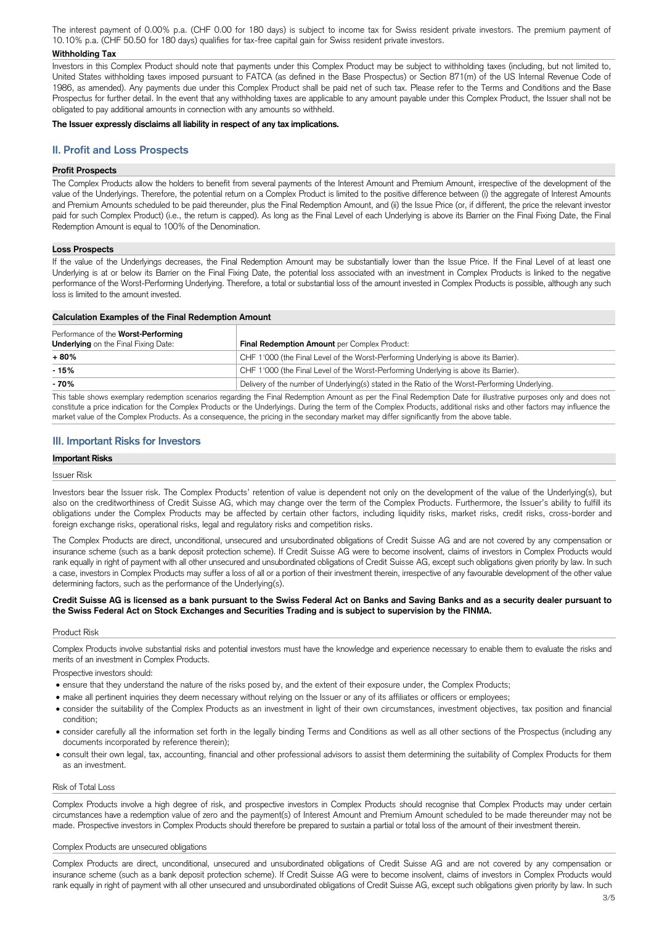The interest payment of 0.00% p.a. (CHF 0.00 for 180 days) is subject to income tax for Swiss resident private investors. The premium payment of 10.10% p.a. (CHF 50.50 for 180 days) qualifies for tax-free capital gain for Swiss resident private investors.

### **Withholding Tax**

Investors in this Complex Product should note that payments under this Complex Product may be subject to withholding taxes (including, but not limited to, United States withholding taxes imposed pursuant to FATCA (as defined in the Base Prospectus) or Section 871(m) of the US Internal Revenue Code of 1986, as amended). Any payments due under this Complex Product shall be paid net of such tax. Please refer to the Terms and Conditions and the Base Prospectus for further detail. In the event that any withholding taxes are applicable to any amount payable under this Complex Product, the Issuer shall not be obligated to pay additional amounts in connection with any amounts so withheld.

### **The Issuer expressly disclaims all liability in respect of any tax implications.**

# **II. Profit and Loss Prospects**

## **Profit Prospects**

The Complex Products allow the holders to benefit from several payments of the Interest Amount and Premium Amount, irrespective of the development of the value of the Underlyings. Therefore, the potential return on a Complex Product is limited to the positive difference between (i) the aggregate of Interest Amounts and Premium Amounts scheduled to be paid thereunder, plus the Final Redemption Amount, and (ii) the Issue Price (or, if different, the price the relevant investor paid for such Complex Product) (i.e., the return is capped). As long as the Final Level of each Underlying is above its Barrier on the Final Fixing Date, the Final Redemption Amount is equal to 100% of the Denomination.

### **Loss Prospects**

If the value of the Underlyings decreases, the Final Redemption Amount may be substantially lower than the Issue Price. If the Final Level of at least one Underlying is at or below its Barrier on the Final Fixing Date, the potential loss associated with an investment in Complex Products is linked to the negative performance of the Worst-Performing Underlying. Therefore, a total or substantial loss of the amount invested in Complex Products is possible, although any such loss is limited to the amount invested.

| <b>Calculation Examples of the Final Redemption Amount</b>                         |                                                                                                 |  |
|------------------------------------------------------------------------------------|-------------------------------------------------------------------------------------------------|--|
| Performance of the Worst-Performing<br><b>Underlying</b> on the Final Fixing Date: | Final Redemption Amount per Complex Product:                                                    |  |
| + 80%                                                                              | CHF 1'000 (the Final Level of the Worst-Performing Underlying is above its Barrier).            |  |
| $-15%$                                                                             | CHF 1'000 (the Final Level of the Worst-Performing Underlying is above its Barrier).            |  |
| $-70%$                                                                             | Delivery of the number of Underlying(s) stated in the Ratio of the Worst-Performing Underlying. |  |

This table shows exemplary redemption scenarios regarding the Final Redemption Amount as per the Final Redemption Date for illustrative purposes only and does not constitute a price indication for the Complex Products or the Underlyings. During the term of the Complex Products, additional risks and other factors may influence the market value of the Complex Products. As a consequence, the pricing in the secondary market may differ significantly from the above table.

# **III. Important Risks for Investors**

### **Important Risks**

### Issuer Risk

Investors bear the Issuer risk. The Complex Products' retention of value is dependent not only on the development of the value of the Underlying(s), but also on the creditworthiness of Credit Suisse AG, which may change over the term of the Complex Products. Furthermore, the Issuer's ability to fulfill its obligations under the Complex Products may be affected by certain other factors, including liquidity risks, market risks, credit risks, cross-border and foreign exchange risks, operational risks, legal and regulatory risks and competition risks.

The Complex Products are direct, unconditional, unsecured and unsubordinated obligations of Credit Suisse AG and are not covered by any compensation or insurance scheme (such as a bank deposit protection scheme). If Credit Suisse AG were to become insolvent, claims of investors in Complex Products would rank equally in right of payment with all other unsecured and unsubordinated obligations of Credit Suisse AG, except such obligations given priority by law. In such a case, investors in Complex Products may suffer a loss of all or a portion of their investment therein, irrespective of any favourable development of the other value determining factors, such as the performance of the Underlying(s).

## **Credit Suisse AG is licensed as a bank pursuant to the Swiss Federal Act on Banks and Saving Banks and as a security dealer pursuant to the Swiss Federal Act on Stock Exchanges and Securities Trading and is subject to supervision by the FINMA.**

## Product Risk

Complex Products involve substantial risks and potential investors must have the knowledge and experience necessary to enable them to evaluate the risks and merits of an investment in Complex Products.

Prospective investors should:

- ensure that they understand the nature of the risks posed by, and the extent of their exposure under, the Complex Products;
- make all pertinent inquiries they deem necessary without relying on the Issuer or any of its affiliates or officers or employees;
- 
- consider the suitability of the Complex Products as an investment in light of their own circumstances, investment objectives, tax position and financial condition;
- consider carefully all the information set forth in the legally binding Terms and Conditions as well as all other sections of the Prospectus (including any documents incorporated by reference therein);
- consult their own legal, tax, accounting, financial and other professional advisors to assist them determining the suitability of Complex Products for them as an investment.

#### Risk of Total Loss

Complex Products involve a high degree of risk, and prospective investors in Complex Products should recognise that Complex Products may under certain circumstances have a redemption value of zero and the payment(s) of Interest Amount and Premium Amount scheduled to be made thereunder may not be made. Prospective investors in Complex Products should therefore be prepared to sustain a partial or total loss of the amount of their investment therein.

#### Complex Products are unsecured obligations

Complex Products are direct, unconditional, unsecured and unsubordinated obligations of Credit Suisse AG and are not covered by any compensation or insurance scheme (such as a bank deposit protection scheme). If Credit Suisse AG were to become insolvent, claims of investors in Complex Products would rank equally in right of payment with all other unsecured and unsubordinated obligations of Credit Suisse AG, except such obligations given priority by law. In such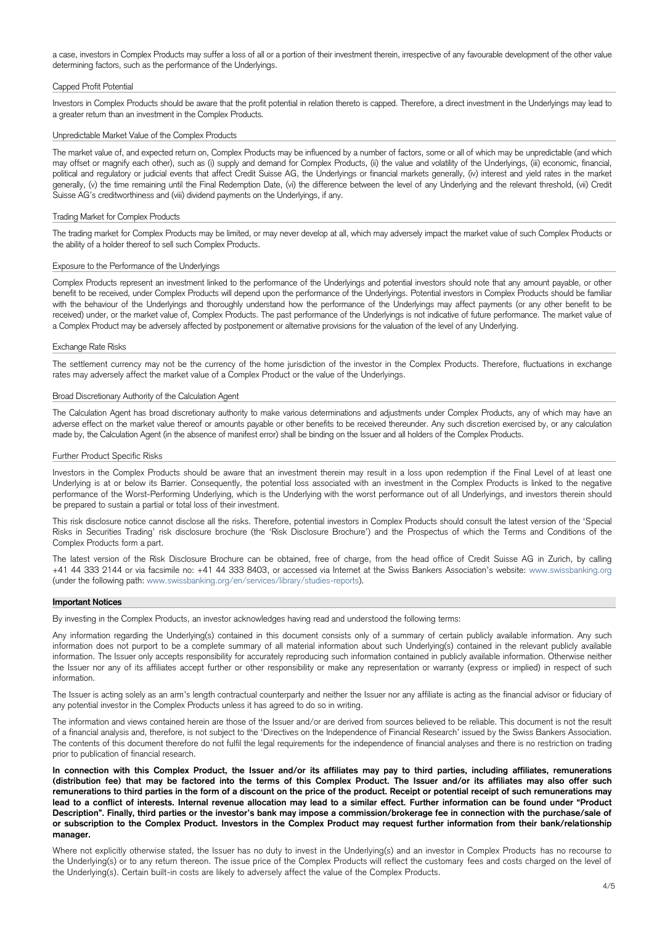a case, investors in Complex Products may suffer a loss of all or a portion of their investment therein, irrespective of any favourable development of the other value determining factors, such as the performance of the Underlyings.

### Capped Profit Potential

Investors in Complex Products should be aware that the profit potential in relation thereto is capped. Therefore, a direct investment in the Underlyings may lead to a greater return than an investment in the Complex Products.

## Unpredictable Market Value of the Complex Products

The market value of, and expected return on, Complex Products may be influenced by a number of factors, some or all of which may be unpredictable (and which may offset or magnify each other), such as (i) supply and demand for Complex Products, (ii) the value and volatility of the Underlyings, (iii) economic, financial, political and regulatory or judicial events that affect Credit Suisse AG, the Underlyings or financial markets generally, (iv) interest and yield rates in the market generally, (v) the time remaining until the Final Redemption Date, (vi) the difference between the level of any Underlying and the relevant threshold, (vii) Credit Suisse AG's creditworthiness and (viii) dividend payments on the Underlyings, if any.

### Trading Market for Complex Products

The trading market for Complex Products may be limited, or may never develop at all, which may adversely impact the market value of such Complex Products or the ability of a holder thereof to sell such Complex Products.

#### Exposure to the Performance of the Underlyings

Complex Products represent an investment linked to the performance of the Underlyings and potential investors should note that any amount payable, or other benefit to be received, under Complex Products will depend upon the performance of the Underlyings. Potential investors in Complex Products should be familiar with the behaviour of the Underlyings and thoroughly understand how the performance of the Underlyings may affect payments (or any other benefit to be received) under, or the market value of, Complex Products. The past performance of the Underlyings is not indicative of future performance. The market value of a Complex Product may be adversely affected by postponement or alternative provisions for the valuation of the level of any Underlying.

#### Exchange Rate Risks

The settlement currency may not be the currency of the home jurisdiction of the investor in the Complex Products. Therefore, fluctuations in exchange rates may adversely affect the market value of a Complex Product or the value of the Underlyings.

Any information regarding the Underlying(s) contained in this document consists only of a summary of certain publicly available information. Any such information does not purport to be a complete summary of all material information about such Underlying(s) contained in the relevant publicly available information. The Issuer only accepts responsibility for accurately reproducing such information contained in publicly available information. Otherwise neither the Issuer nor any of its affiliates accept further or other responsibility or make any representation or warranty (express or implied) in respect of such information.

#### Broad Discretionary Authority of the Calculation Agent

The Calculation Agent has broad discretionary authority to make various determinations and adjustments under Complex Products, any of which may have an adverse effect on the market value thereof or amounts payable or other benefits to be received thereunder. Any such discretion exercised by, or any calculation made by, the Calculation Agent (in the absence of manifest error) shall be binding on the Issuer and all holders of the Complex Products.

#### Further Product Specific Risks

Investors in the Complex Products should be aware that an investment therein may result in a loss upon redemption if the Final Level of at least one Underlying is at or below its Barrier. Consequently, the potential loss associated with an investment in the Complex Products is linked to the negative performance of the Worst-Performing Underlying, which is the Underlying with the worst performance out of all Underlyings, and investors therein should be prepared to sustain a partial or total loss of their investment.

This risk disclosure notice cannot disclose all the risks. Therefore, potential investors in Complex Products should consult the latest version of the 'Special Risks in Securities Trading' risk disclosure brochure (the 'Risk Disclosure Brochure') and the Prospectus of which the Terms and Conditions of the Complex Products form a part.

The latest version of the Risk Disclosure Brochure can be obtained, free of charge, from the head office of Credit Suisse AG in Zurich, by calling +41 44 333 2144 or via facsimile no: +41 44 333 8403, or accessed via Internet at the Swiss Bankers Association's website: www.swissbanking.org (under the following path: www.swissbanking.org/en/services/library/studies-reports).

#### **Important Notices**

By investing in the Complex Products, an investor acknowledges having read and understood the following terms:

The Issuer is acting solely as an arm's length contractual counterparty and neither the Issuer nor any affiliate is acting as the financial advisor or fiduciary of

any potential investor in the Complex Products unless it has agreed to do so in writing.

The information and views contained herein are those of the Issuer and/or are derived from sources believed to be reliable. This document is not the result of a financial analysis and, therefore, is not subject to the 'Directives on the Independence of Financial Research' issued by the Swiss Bankers Association. The contents of this document therefore do not fulfil the legal requirements for the independence of financial analyses and there is no restriction on trading prior to publication of financial research.

**In connection with this Complex Product, the Issuer and/or its affiliates may pay to third parties, including affiliates, remunerations (distribution fee) that may be factored into the terms of this Complex Product. The Issuer and/or its affiliates may also offer such remunerations to third parties in the form of a discount on the price of the product. Receipt or potential receipt of such remunerations may lead to a conflict of interests. Internal revenue allocation may lead to a similar effect. Further information can be found under "Product Description". Finally, third parties or the investor's bank may impose a commission/brokerage fee in connection with the purchase/sale of or subscription to the Complex Product. Investors in the Complex Product may request further information from their bank/relationship manager.**

Where not explicitly otherwise stated, the Issuer has no duty to invest in the Underlying(s) and an investor in Complex Products has no recourse to the Underlying(s) or to any return thereon. The issue price of the Complex Products will reflect the customary fees and costs charged on the level of the Underlying(s). Certain built-in costs are likely to adversely affect the value of the Complex Products.